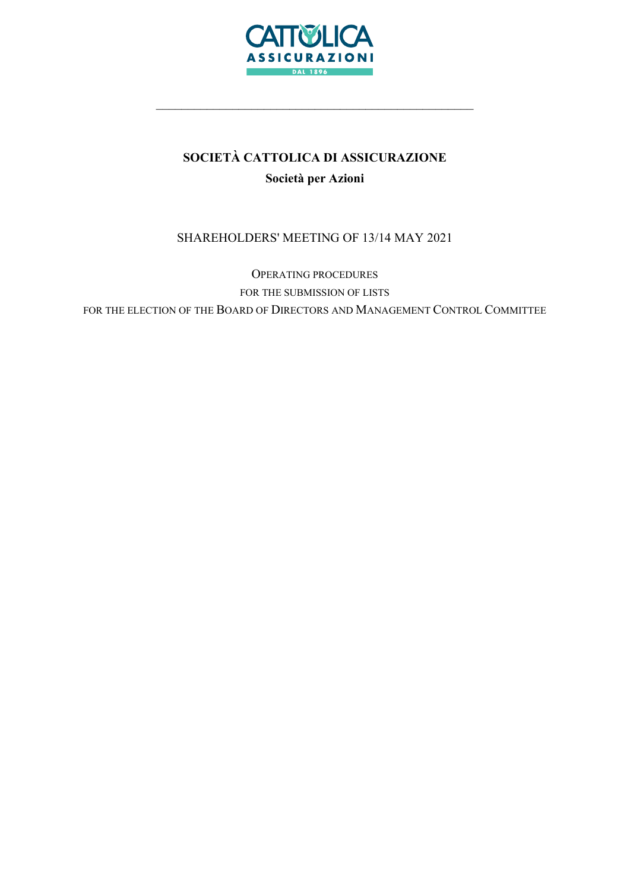

# SOCIETÀ CATTOLICA DI ASSICURAZIONE Società per Azioni

\_\_\_\_\_\_\_\_\_\_\_\_\_\_\_\_\_\_\_\_\_\_\_\_\_\_\_\_\_\_\_\_\_\_\_\_\_\_\_\_\_\_\_\_\_\_\_\_\_\_

# SHAREHOLDERS' MEETING OF 13/14 MAY 2021

OPERATING PROCEDURES FOR THE SUBMISSION OF LISTS FOR THE ELECTION OF THE BOARD OF DIRECTORS AND MANAGEMENT CONTROL COMMITTEE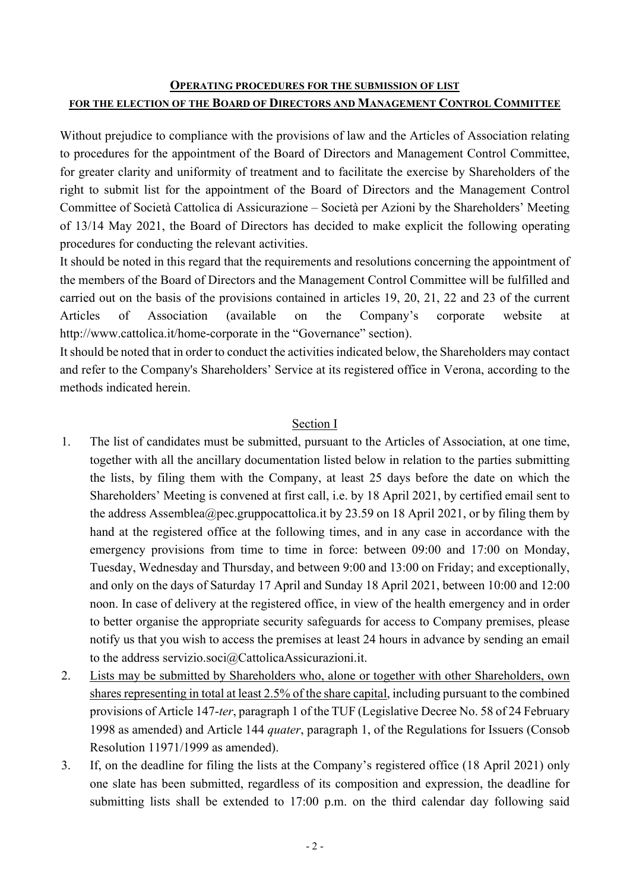# OPERATING PROCEDURES FOR THE SUBMISSION OF LIST FOR THE ELECTION OF THE BOARD OF DIRECTORS AND MANAGEMENT CONTROL COMMITTEE

Without prejudice to compliance with the provisions of law and the Articles of Association relating to procedures for the appointment of the Board of Directors and Management Control Committee, for greater clarity and uniformity of treatment and to facilitate the exercise by Shareholders of the right to submit list for the appointment of the Board of Directors and the Management Control Committee of Società Cattolica di Assicurazione – Società per Azioni by the Shareholders' Meeting of 13/14 May 2021, the Board of Directors has decided to make explicit the following operating procedures for conducting the relevant activities.

It should be noted in this regard that the requirements and resolutions concerning the appointment of the members of the Board of Directors and the Management Control Committee will be fulfilled and carried out on the basis of the provisions contained in articles 19, 20, 21, 22 and 23 of the current Articles of Association (available on the Company's corporate website at http://www.cattolica.it/home-corporate in the "Governance" section).

It should be noted that in order to conduct the activities indicated below, the Shareholders may contact and refer to the Company's Shareholders' Service at its registered office in Verona, according to the methods indicated herein.

# Section I

- 1. The list of candidates must be submitted, pursuant to the Articles of Association, at one time, together with all the ancillary documentation listed below in relation to the parties submitting the lists, by filing them with the Company, at least 25 days before the date on which the Shareholders' Meeting is convened at first call, i.e. by 18 April 2021, by certified email sent to the address Assemblea@pec.gruppocattolica.it by 23.59 on 18 April 2021, or by filing them by hand at the registered office at the following times, and in any case in accordance with the emergency provisions from time to time in force: between 09:00 and 17:00 on Monday, Tuesday, Wednesday and Thursday, and between 9:00 and 13:00 on Friday; and exceptionally, and only on the days of Saturday 17 April and Sunday 18 April 2021, between 10:00 and 12:00 noon. In case of delivery at the registered office, in view of the health emergency and in order to better organise the appropriate security safeguards for access to Company premises, please notify us that you wish to access the premises at least 24 hours in advance by sending an email to the address servizio.soci@CattolicaAssicurazioni.it.
- 2. Lists may be submitted by Shareholders who, alone or together with other Shareholders, own shares representing in total at least 2.5% of the share capital, including pursuant to the combined provisions of Article 147-ter, paragraph 1 of the TUF (Legislative Decree No. 58 of 24 February 1998 as amended) and Article 144 quater, paragraph 1, of the Regulations for Issuers (Consob Resolution 11971/1999 as amended).
- 3. If, on the deadline for filing the lists at the Company's registered office (18 April 2021) only one slate has been submitted, regardless of its composition and expression, the deadline for submitting lists shall be extended to 17:00 p.m. on the third calendar day following said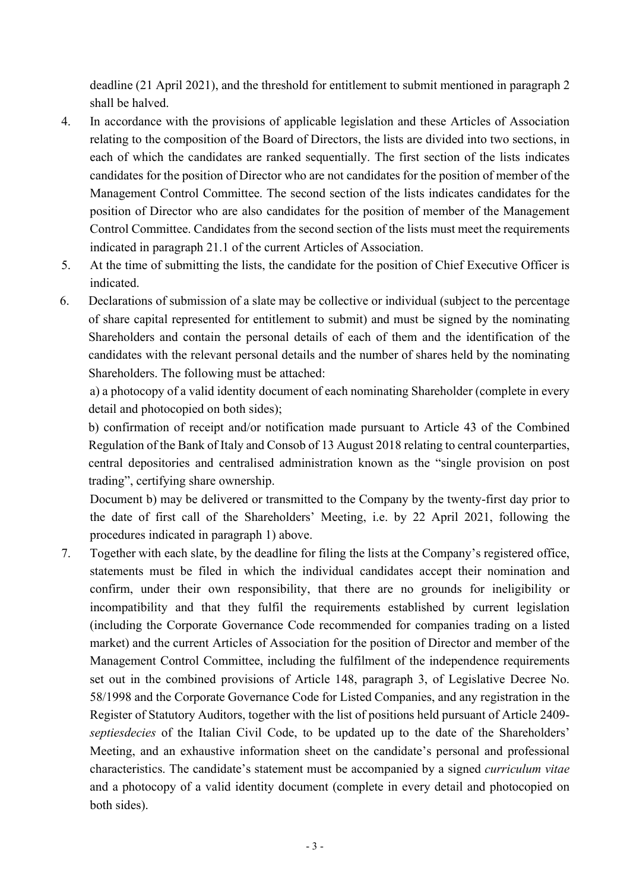deadline (21 April 2021), and the threshold for entitlement to submit mentioned in paragraph 2 shall be halved.

- 4. In accordance with the provisions of applicable legislation and these Articles of Association relating to the composition of the Board of Directors, the lists are divided into two sections, in each of which the candidates are ranked sequentially. The first section of the lists indicates candidates for the position of Director who are not candidates for the position of member of the Management Control Committee. The second section of the lists indicates candidates for the position of Director who are also candidates for the position of member of the Management Control Committee. Candidates from the second section of the lists must meet the requirements indicated in paragraph 21.1 of the current Articles of Association.
- 5. At the time of submitting the lists, the candidate for the position of Chief Executive Officer is indicated.
- 6. Declarations of submission of a slate may be collective or individual (subject to the percentage of share capital represented for entitlement to submit) and must be signed by the nominating Shareholders and contain the personal details of each of them and the identification of the candidates with the relevant personal details and the number of shares held by the nominating Shareholders. The following must be attached:

a) a photocopy of a valid identity document of each nominating Shareholder (complete in every detail and photocopied on both sides);

b) confirmation of receipt and/or notification made pursuant to Article 43 of the Combined Regulation of the Bank of Italy and Consob of 13 August 2018 relating to central counterparties, central depositories and centralised administration known as the "single provision on post trading", certifying share ownership.

Document b) may be delivered or transmitted to the Company by the twenty-first day prior to the date of first call of the Shareholders' Meeting, i.e. by 22 April 2021, following the procedures indicated in paragraph 1) above.

7. Together with each slate, by the deadline for filing the lists at the Company's registered office, statements must be filed in which the individual candidates accept their nomination and confirm, under their own responsibility, that there are no grounds for ineligibility or incompatibility and that they fulfil the requirements established by current legislation (including the Corporate Governance Code recommended for companies trading on a listed market) and the current Articles of Association for the position of Director and member of the Management Control Committee, including the fulfilment of the independence requirements set out in the combined provisions of Article 148, paragraph 3, of Legislative Decree No. 58/1998 and the Corporate Governance Code for Listed Companies, and any registration in the Register of Statutory Auditors, together with the list of positions held pursuant of Article 2409 septiesdecies of the Italian Civil Code, to be updated up to the date of the Shareholders' Meeting, and an exhaustive information sheet on the candidate's personal and professional characteristics. The candidate's statement must be accompanied by a signed curriculum vitae and a photocopy of a valid identity document (complete in every detail and photocopied on both sides).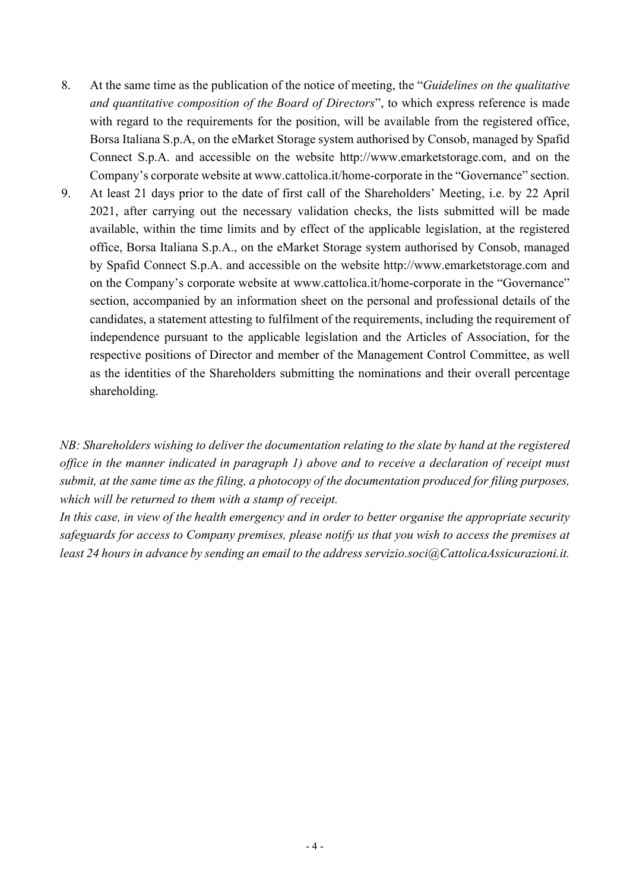- 8. At the same time as the publication of the notice of meeting, the "Guidelines on the qualitative" and quantitative composition of the Board of Directors", to which express reference is made with regard to the requirements for the position, will be available from the registered office, Borsa Italiana S.p.A, on the eMarket Storage system authorised by Consob, managed by Spafid Connect S.p.A. and accessible on the website http://www.emarketstorage.com, and on the Company's corporate website at www.cattolica.it/home-corporate in the "Governance" section.
- 9. At least 21 days prior to the date of first call of the Shareholders' Meeting, i.e. by 22 April 2021, after carrying out the necessary validation checks, the lists submitted will be made available, within the time limits and by effect of the applicable legislation, at the registered office, Borsa Italiana S.p.A., on the eMarket Storage system authorised by Consob, managed by Spafid Connect S.p.A. and accessible on the website http://www.emarketstorage.com and on the Company's corporate website at www.cattolica.it/home-corporate in the "Governance" section, accompanied by an information sheet on the personal and professional details of the candidates, a statement attesting to fulfilment of the requirements, including the requirement of independence pursuant to the applicable legislation and the Articles of Association, for the respective positions of Director and member of the Management Control Committee, as well as the identities of the Shareholders submitting the nominations and their overall percentage shareholding.

NB: Shareholders wishing to deliver the documentation relating to the slate by hand at the registered office in the manner indicated in paragraph 1) above and to receive a declaration of receipt must submit, at the same time as the filing, a photocopy of the documentation produced for filing purposes, which will be returned to them with a stamp of receipt.

In this case, in view of the health emergency and in order to better organise the appropriate security safeguards for access to Company premises, please notify us that you wish to access the premises at least 24 hours in advance by sending an email to the address servizio.soci@CattolicaAssicurazioni.it.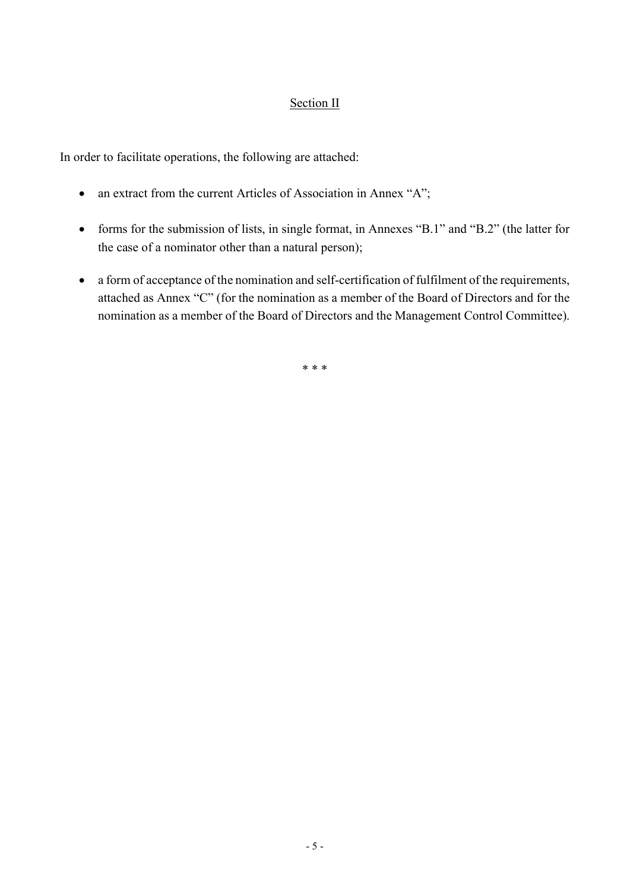# Section II

In order to facilitate operations, the following are attached:

- an extract from the current Articles of Association in Annex "A";
- forms for the submission of lists, in single format, in Annexes "B.1" and "B.2" (the latter for the case of a nominator other than a natural person);
- a form of acceptance of the nomination and self-certification of fulfilment of the requirements, attached as Annex "C" (for the nomination as a member of the Board of Directors and for the nomination as a member of the Board of Directors and the Management Control Committee).

\* \* \*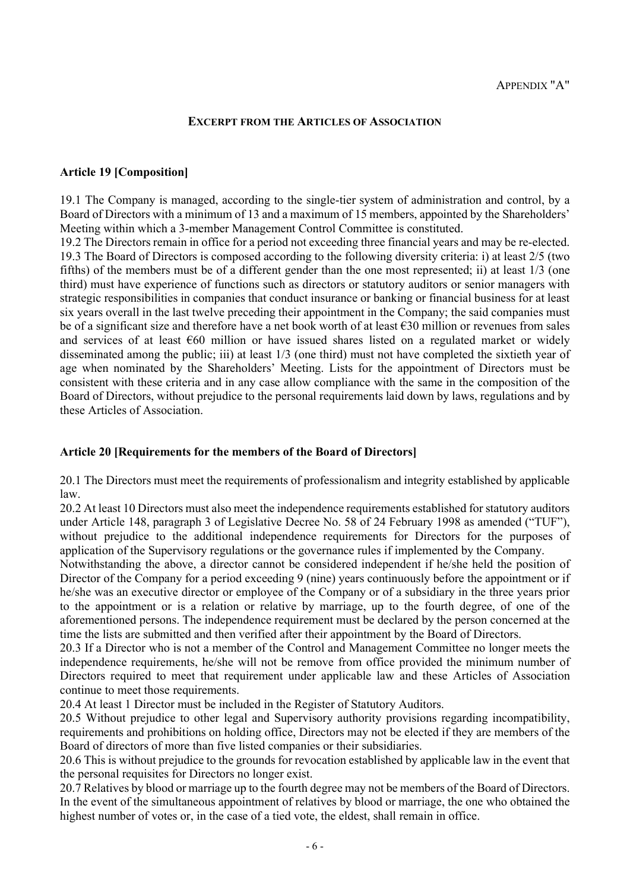#### EXCERPT FROM THE ARTICLES OF ASSOCIATION

#### Article 19 [Composition]

19.1 The Company is managed, according to the single-tier system of administration and control, by a Board of Directors with a minimum of 13 and a maximum of 15 members, appointed by the Shareholders' Meeting within which a 3-member Management Control Committee is constituted.

19.2 The Directors remain in office for a period not exceeding three financial years and may be re-elected. 19.3 The Board of Directors is composed according to the following diversity criteria: i) at least 2/5 (two fifths) of the members must be of a different gender than the one most represented; ii) at least 1/3 (one third) must have experience of functions such as directors or statutory auditors or senior managers with strategic responsibilities in companies that conduct insurance or banking or financial business for at least six years overall in the last twelve preceding their appointment in the Company; the said companies must be of a significant size and therefore have a net book worth of at least  $\epsilon$ 30 million or revenues from sales and services of at least €60 million or have issued shares listed on a regulated market or widely disseminated among the public; iii) at least 1/3 (one third) must not have completed the sixtieth year of age when nominated by the Shareholders' Meeting. Lists for the appointment of Directors must be consistent with these criteria and in any case allow compliance with the same in the composition of the Board of Directors, without prejudice to the personal requirements laid down by laws, regulations and by these Articles of Association.

#### Article 20 [Requirements for the members of the Board of Directors]

20.1 The Directors must meet the requirements of professionalism and integrity established by applicable law.

20.2 At least 10 Directors must also meet the independence requirements established for statutory auditors under Article 148, paragraph 3 of Legislative Decree No. 58 of 24 February 1998 as amended ("TUF"), without prejudice to the additional independence requirements for Directors for the purposes of application of the Supervisory regulations or the governance rules if implemented by the Company.

Notwithstanding the above, a director cannot be considered independent if he/she held the position of Director of the Company for a period exceeding 9 (nine) years continuously before the appointment or if he/she was an executive director or employee of the Company or of a subsidiary in the three years prior to the appointment or is a relation or relative by marriage, up to the fourth degree, of one of the aforementioned persons. The independence requirement must be declared by the person concerned at the time the lists are submitted and then verified after their appointment by the Board of Directors.

20.3 If a Director who is not a member of the Control and Management Committee no longer meets the independence requirements, he/she will not be remove from office provided the minimum number of Directors required to meet that requirement under applicable law and these Articles of Association continue to meet those requirements.

20.4 At least 1 Director must be included in the Register of Statutory Auditors.

20.5 Without prejudice to other legal and Supervisory authority provisions regarding incompatibility, requirements and prohibitions on holding office, Directors may not be elected if they are members of the Board of directors of more than five listed companies or their subsidiaries.

20.6 This is without prejudice to the grounds for revocation established by applicable law in the event that the personal requisites for Directors no longer exist.

20.7 Relatives by blood or marriage up to the fourth degree may not be members of the Board of Directors. In the event of the simultaneous appointment of relatives by blood or marriage, the one who obtained the highest number of votes or, in the case of a tied vote, the eldest, shall remain in office.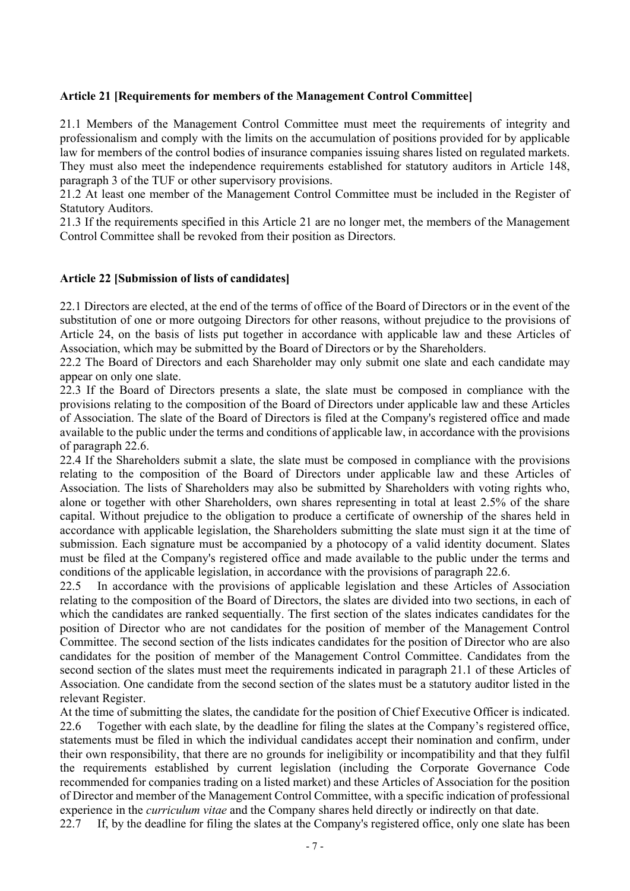## Article 21 [Requirements for members of the Management Control Committee]

21.1 Members of the Management Control Committee must meet the requirements of integrity and professionalism and comply with the limits on the accumulation of positions provided for by applicable law for members of the control bodies of insurance companies issuing shares listed on regulated markets. They must also meet the independence requirements established for statutory auditors in Article 148, paragraph 3 of the TUF or other supervisory provisions.

21.2 At least one member of the Management Control Committee must be included in the Register of Statutory Auditors.

21.3 If the requirements specified in this Article 21 are no longer met, the members of the Management Control Committee shall be revoked from their position as Directors.

### Article 22 [Submission of lists of candidates]

22.1 Directors are elected, at the end of the terms of office of the Board of Directors or in the event of the substitution of one or more outgoing Directors for other reasons, without prejudice to the provisions of Article 24, on the basis of lists put together in accordance with applicable law and these Articles of Association, which may be submitted by the Board of Directors or by the Shareholders.

22.2 The Board of Directors and each Shareholder may only submit one slate and each candidate may appear on only one slate.

22.3 If the Board of Directors presents a slate, the slate must be composed in compliance with the provisions relating to the composition of the Board of Directors under applicable law and these Articles of Association. The slate of the Board of Directors is filed at the Company's registered office and made available to the public under the terms and conditions of applicable law, in accordance with the provisions of paragraph 22.6.

22.4 If the Shareholders submit a slate, the slate must be composed in compliance with the provisions relating to the composition of the Board of Directors under applicable law and these Articles of Association. The lists of Shareholders may also be submitted by Shareholders with voting rights who, alone or together with other Shareholders, own shares representing in total at least 2.5% of the share capital. Without prejudice to the obligation to produce a certificate of ownership of the shares held in accordance with applicable legislation, the Shareholders submitting the slate must sign it at the time of submission. Each signature must be accompanied by a photocopy of a valid identity document. Slates must be filed at the Company's registered office and made available to the public under the terms and conditions of the applicable legislation, in accordance with the provisions of paragraph 22.6.

22.5 In accordance with the provisions of applicable legislation and these Articles of Association relating to the composition of the Board of Directors, the slates are divided into two sections, in each of which the candidates are ranked sequentially. The first section of the slates indicates candidates for the position of Director who are not candidates for the position of member of the Management Control Committee. The second section of the lists indicates candidates for the position of Director who are also candidates for the position of member of the Management Control Committee. Candidates from the second section of the slates must meet the requirements indicated in paragraph 21.1 of these Articles of Association. One candidate from the second section of the slates must be a statutory auditor listed in the relevant Register.

At the time of submitting the slates, the candidate for the position of Chief Executive Officer is indicated. 22.6 Together with each slate, by the deadline for filing the slates at the Company's registered office, statements must be filed in which the individual candidates accept their nomination and confirm, under their own responsibility, that there are no grounds for ineligibility or incompatibility and that they fulfil the requirements established by current legislation (including the Corporate Governance Code recommended for companies trading on a listed market) and these Articles of Association for the position of Director and member of the Management Control Committee, with a specific indication of professional experience in the curriculum vitae and the Company shares held directly or indirectly on that date.

22.7 If, by the deadline for filing the slates at the Company's registered office, only one slate has been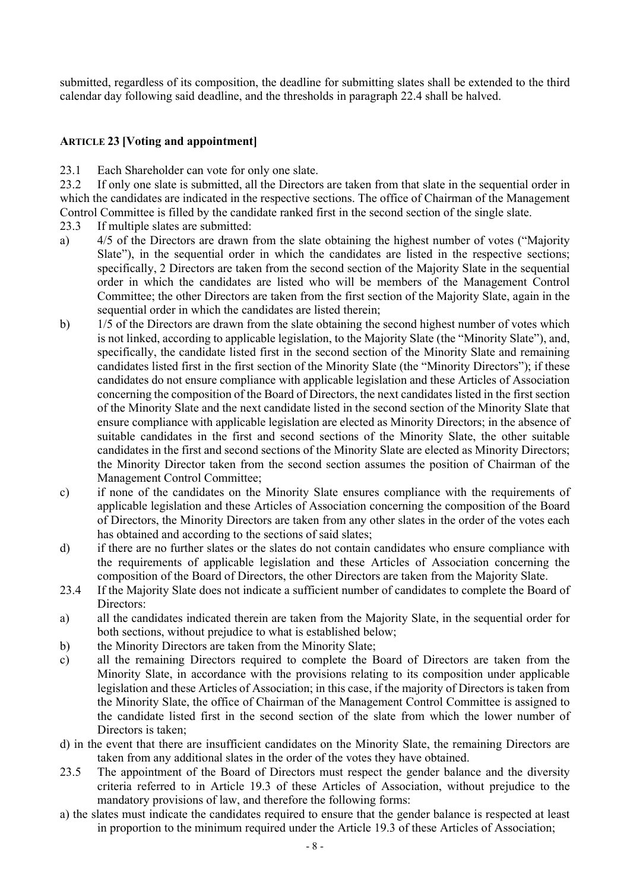submitted, regardless of its composition, the deadline for submitting slates shall be extended to the third calendar day following said deadline, and the thresholds in paragraph 22.4 shall be halved.

## ARTICLE 23 [Voting and appointment]

23.1 Each Shareholder can vote for only one slate.

23.2 If only one slate is submitted, all the Directors are taken from that slate in the sequential order in which the candidates are indicated in the respective sections. The office of Chairman of the Management Control Committee is filled by the candidate ranked first in the second section of the single slate.

- 23.3 If multiple slates are submitted:
- a) 4/5 of the Directors are drawn from the slate obtaining the highest number of votes ("Majority Slate"), in the sequential order in which the candidates are listed in the respective sections; specifically, 2 Directors are taken from the second section of the Majority Slate in the sequential order in which the candidates are listed who will be members of the Management Control Committee; the other Directors are taken from the first section of the Majority Slate, again in the sequential order in which the candidates are listed therein;
- b) 1/5 of the Directors are drawn from the slate obtaining the second highest number of votes which is not linked, according to applicable legislation, to the Majority Slate (the "Minority Slate"), and, specifically, the candidate listed first in the second section of the Minority Slate and remaining candidates listed first in the first section of the Minority Slate (the "Minority Directors"); if these candidates do not ensure compliance with applicable legislation and these Articles of Association concerning the composition of the Board of Directors, the next candidates listed in the first section of the Minority Slate and the next candidate listed in the second section of the Minority Slate that ensure compliance with applicable legislation are elected as Minority Directors; in the absence of suitable candidates in the first and second sections of the Minority Slate, the other suitable candidates in the first and second sections of the Minority Slate are elected as Minority Directors; the Minority Director taken from the second section assumes the position of Chairman of the Management Control Committee;
- c) if none of the candidates on the Minority Slate ensures compliance with the requirements of applicable legislation and these Articles of Association concerning the composition of the Board of Directors, the Minority Directors are taken from any other slates in the order of the votes each has obtained and according to the sections of said slates;
- d) if there are no further slates or the slates do not contain candidates who ensure compliance with the requirements of applicable legislation and these Articles of Association concerning the composition of the Board of Directors, the other Directors are taken from the Majority Slate.
- 23.4 If the Majority Slate does not indicate a sufficient number of candidates to complete the Board of Directors:
- a) all the candidates indicated therein are taken from the Majority Slate, in the sequential order for both sections, without prejudice to what is established below;
- b) the Minority Directors are taken from the Minority Slate;
- c) all the remaining Directors required to complete the Board of Directors are taken from the Minority Slate, in accordance with the provisions relating to its composition under applicable legislation and these Articles of Association; in this case, if the majority of Directors is taken from the Minority Slate, the office of Chairman of the Management Control Committee is assigned to the candidate listed first in the second section of the slate from which the lower number of Directors is taken;
- d) in the event that there are insufficient candidates on the Minority Slate, the remaining Directors are taken from any additional slates in the order of the votes they have obtained.
- 23.5 The appointment of the Board of Directors must respect the gender balance and the diversity criteria referred to in Article 19.3 of these Articles of Association, without prejudice to the mandatory provisions of law, and therefore the following forms:
- a) the slates must indicate the candidates required to ensure that the gender balance is respected at least in proportion to the minimum required under the Article 19.3 of these Articles of Association;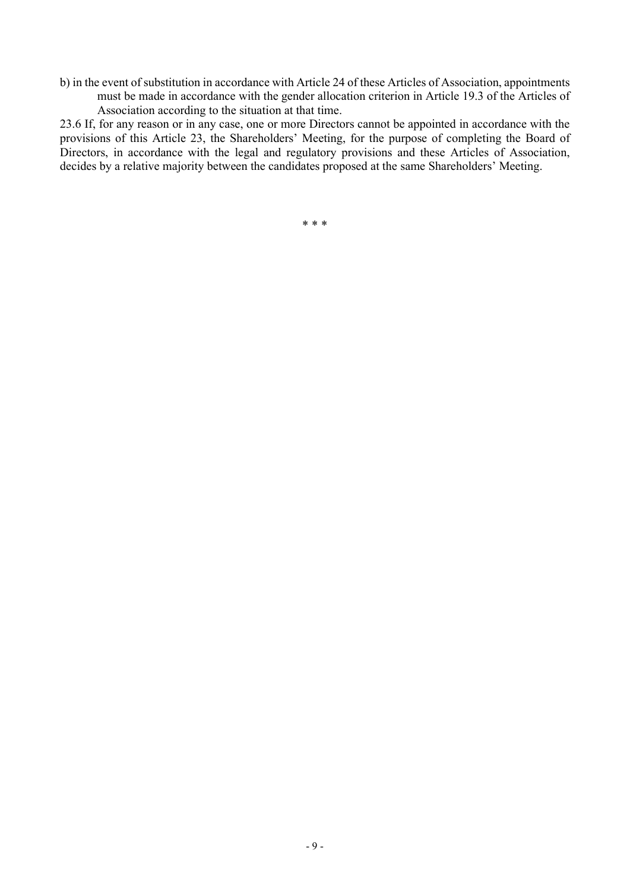b) in the event of substitution in accordance with Article 24 of these Articles of Association, appointments must be made in accordance with the gender allocation criterion in Article 19.3 of the Articles of Association according to the situation at that time.

23.6 If, for any reason or in any case, one or more Directors cannot be appointed in accordance with the provisions of this Article 23, the Shareholders' Meeting, for the purpose of completing the Board of Directors, in accordance with the legal and regulatory provisions and these Articles of Association, decides by a relative majority between the candidates proposed at the same Shareholders' Meeting.

\* \* \*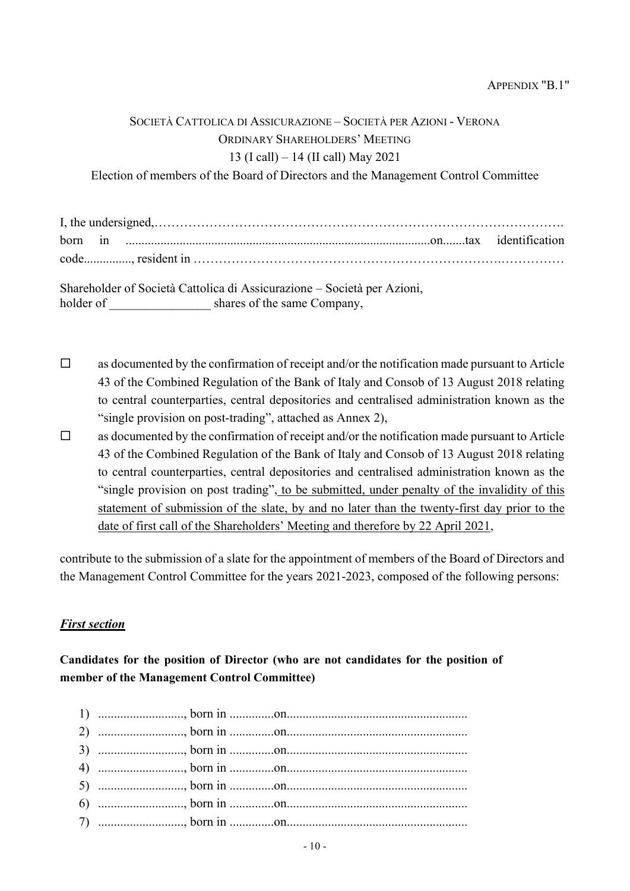# SOCIETÀ CATTOLICA DI ASSICURAZIONE – SOCIETÀ PER AZIONI - VERONA ORDINARY SHAREHOLDERS' MEETING 13 (I call) – 14 (II call) May 2021

Election of members of the Board of Directors and the Management Control Committee

Shareholder of Società Cattolica di Assicurazione – Società per Azioni, holder of \_\_\_\_\_\_\_\_\_\_\_\_\_\_\_\_\_\_\_ shares of the same Company,

- $\Box$  as documented by the confirmation of receipt and/or the notification made pursuant to Article 43 of the Combined Regulation of the Bank of Italy and Consob of 13 August 2018 relating to central counterparties, central depositories and centralised administration known as the "single provision on post-trading", attached as Annex 2),
- $\Box$  as documented by the confirmation of receipt and/or the notification made pursuant to Article 43 of the Combined Regulation of the Bank of Italy and Consob of 13 August 2018 relating to central counterparties, central depositories and centralised administration known as the "single provision on post trading", to be submitted, under penalty of the invalidity of this statement of submission of the slate, by and no later than the twenty-first day prior to the date of first call of the Shareholders' Meeting and therefore by 22 April 2021,

contribute to the submission of a slate for the appointment of members of the Board of Directors and the Management Control Committee for the years 2021-2023, composed of the following persons:

## First section

Candidates for the position of Director (who are not candidates for the position of member of the Management Control Committee)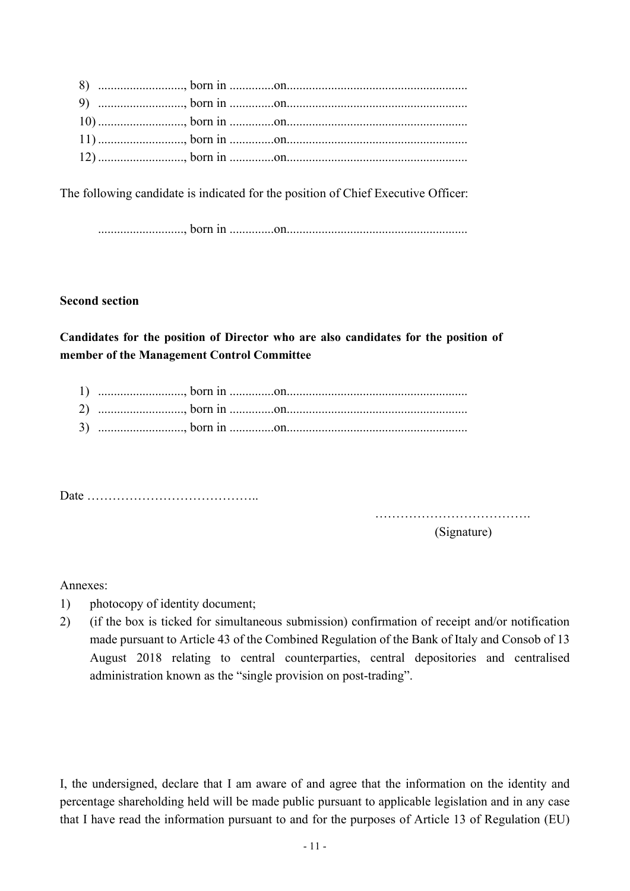The following candidate is indicated for the position of Chief Executive Officer:

..........................., born in ..............on.........................................................

### Second section

Candidates for the position of Director who are also candidates for the position of member of the Management Control Committee

Date …………………………………..

…………………………………………

(Signature)

Annexes:

- 1) photocopy of identity document;
- 2) (if the box is ticked for simultaneous submission) confirmation of receipt and/or notification made pursuant to Article 43 of the Combined Regulation of the Bank of Italy and Consob of 13 August 2018 relating to central counterparties, central depositories and centralised administration known as the "single provision on post-trading".

I, the undersigned, declare that I am aware of and agree that the information on the identity and percentage shareholding held will be made public pursuant to applicable legislation and in any case that I have read the information pursuant to and for the purposes of Article 13 of Regulation (EU)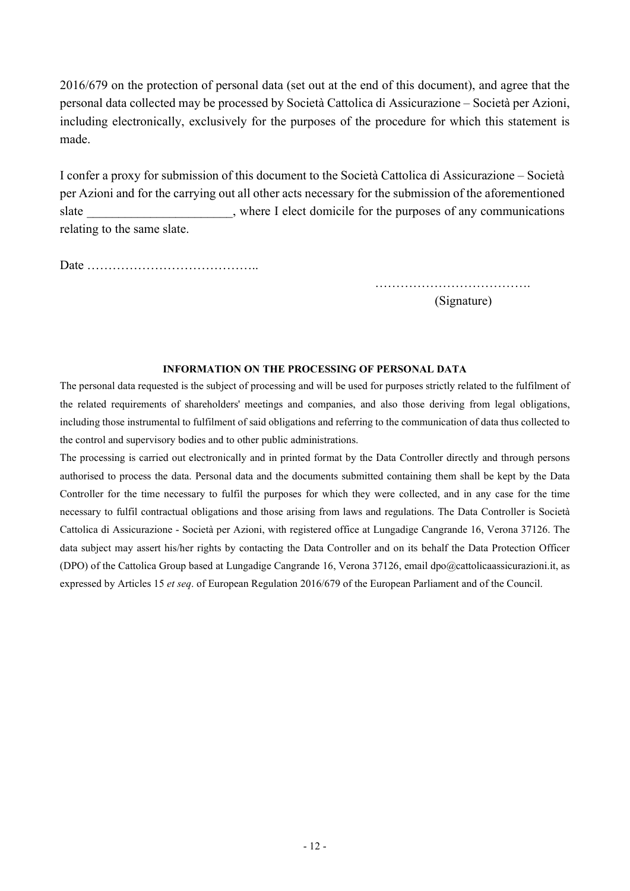2016/679 on the protection of personal data (set out at the end of this document), and agree that the personal data collected may be processed by Società Cattolica di Assicurazione – Società per Azioni, including electronically, exclusively for the purposes of the procedure for which this statement is made.

I confer a proxy for submission of this document to the Società Cattolica di Assicurazione – Società per Azioni and for the carrying out all other acts necessary for the submission of the aforementioned slate slate subseteducible where I elect domicile for the purposes of any communications relating to the same slate.

Date …………………………………..

………………………………………… (Signature)

#### INFORMATION ON THE PROCESSING OF PERSONAL DATA

The personal data requested is the subject of processing and will be used for purposes strictly related to the fulfilment of the related requirements of shareholders' meetings and companies, and also those deriving from legal obligations, including those instrumental to fulfilment of said obligations and referring to the communication of data thus collected to the control and supervisory bodies and to other public administrations.

The processing is carried out electronically and in printed format by the Data Controller directly and through persons authorised to process the data. Personal data and the documents submitted containing them shall be kept by the Data Controller for the time necessary to fulfil the purposes for which they were collected, and in any case for the time necessary to fulfil contractual obligations and those arising from laws and regulations. The Data Controller is Società Cattolica di Assicurazione - Società per Azioni, with registered office at Lungadige Cangrande 16, Verona 37126. The data subject may assert his/her rights by contacting the Data Controller and on its behalf the Data Protection Officer (DPO) of the Cattolica Group based at Lungadige Cangrande 16, Verona 37126, email dpo@cattolicaassicurazioni.it, as expressed by Articles 15 et seq. of European Regulation 2016/679 of the European Parliament and of the Council.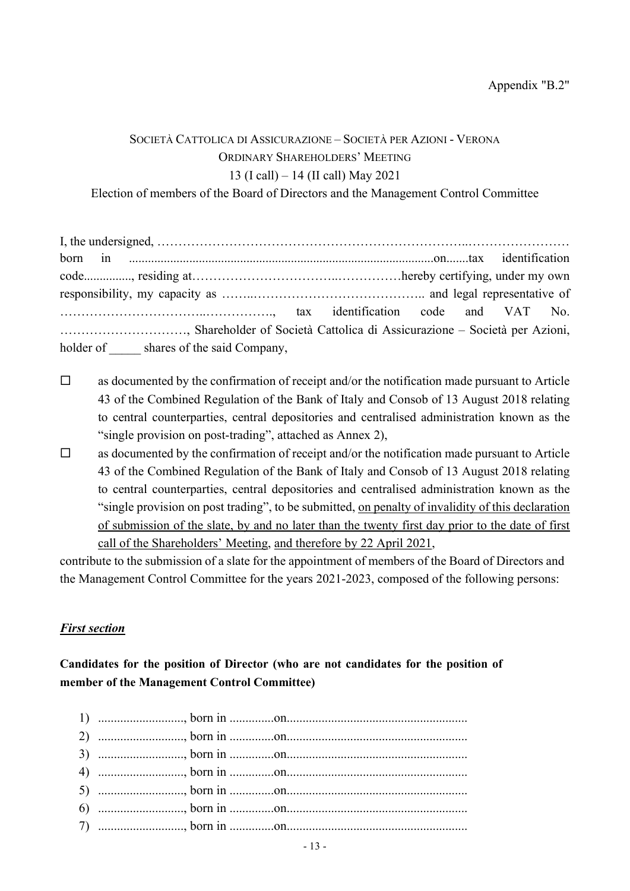# SOCIETÀ CATTOLICA DI ASSICURAZIONE – SOCIETÀ PER AZIONI - VERONA ORDINARY SHAREHOLDERS' MEETING 13 (I call) – 14 (II call) May 2021

Election of members of the Board of Directors and the Management Control Committee

| , Shareholder of Società Cattolica di Assicurazione – Società per Azioni, |  |  |  |
|---------------------------------------------------------------------------|--|--|--|
| holder of shares of the said Company,                                     |  |  |  |

- $\Box$  as documented by the confirmation of receipt and/or the notification made pursuant to Article 43 of the Combined Regulation of the Bank of Italy and Consob of 13 August 2018 relating to central counterparties, central depositories and centralised administration known as the "single provision on post-trading", attached as Annex 2),
- $\Box$  as documented by the confirmation of receipt and/or the notification made pursuant to Article 43 of the Combined Regulation of the Bank of Italy and Consob of 13 August 2018 relating to central counterparties, central depositories and centralised administration known as the "single provision on post trading", to be submitted, on penalty of invalidity of this declaration of submission of the slate, by and no later than the twenty first day prior to the date of first call of the Shareholders' Meeting, and therefore by 22 April 2021,

contribute to the submission of a slate for the appointment of members of the Board of Directors and the Management Control Committee for the years 2021-2023, composed of the following persons:

## First section

Candidates for the position of Director (who are not candidates for the position of member of the Management Control Committee)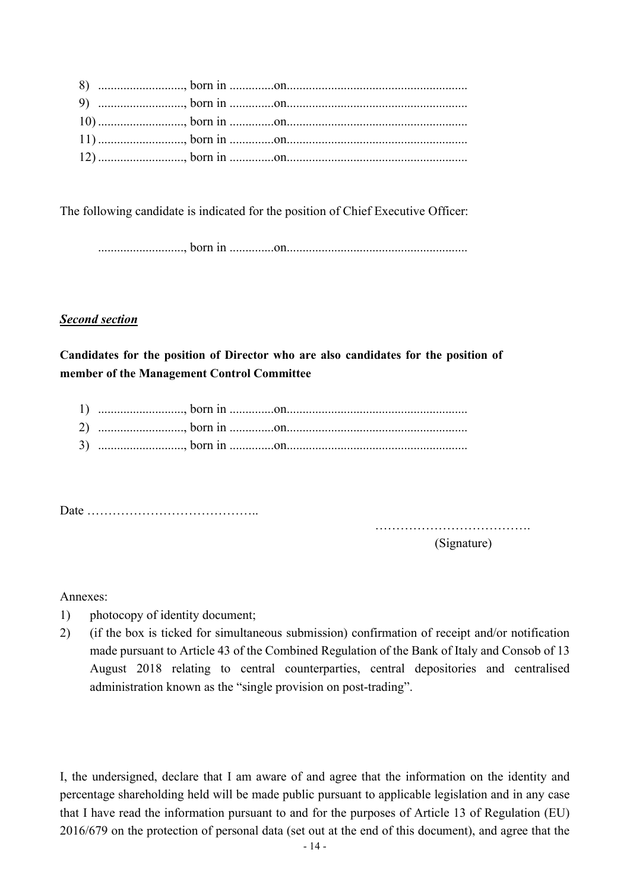The following candidate is indicated for the position of Chief Executive Officer:

..........................., born in ..............on.........................................................

## Second section

Candidates for the position of Director who are also candidates for the position of member of the Management Control Committee

Date …………………………………..

……………………………………………

(Signature)

Annexes:

- 1) photocopy of identity document;
- 2) (if the box is ticked for simultaneous submission) confirmation of receipt and/or notification made pursuant to Article 43 of the Combined Regulation of the Bank of Italy and Consob of 13 August 2018 relating to central counterparties, central depositories and centralised administration known as the "single provision on post-trading".

I, the undersigned, declare that I am aware of and agree that the information on the identity and percentage shareholding held will be made public pursuant to applicable legislation and in any case that I have read the information pursuant to and for the purposes of Article 13 of Regulation (EU) 2016/679 on the protection of personal data (set out at the end of this document), and agree that the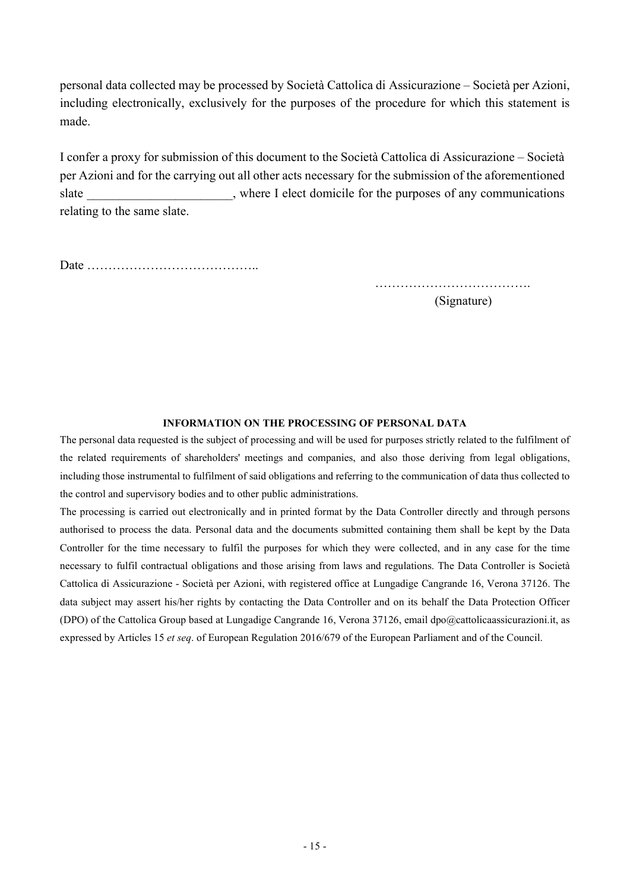personal data collected may be processed by Società Cattolica di Assicurazione – Società per Azioni, including electronically, exclusively for the purposes of the procedure for which this statement is made.

I confer a proxy for submission of this document to the Società Cattolica di Assicurazione – Società per Azioni and for the carrying out all other acts necessary for the submission of the aforementioned slate slate subseteducible where I elect domicile for the purposes of any communications relating to the same slate.

Date …………………………………..

………………………………. (Signature)

### INFORMATION ON THE PROCESSING OF PERSONAL DATA

The personal data requested is the subject of processing and will be used for purposes strictly related to the fulfilment of the related requirements of shareholders' meetings and companies, and also those deriving from legal obligations, including those instrumental to fulfilment of said obligations and referring to the communication of data thus collected to the control and supervisory bodies and to other public administrations.

The processing is carried out electronically and in printed format by the Data Controller directly and through persons authorised to process the data. Personal data and the documents submitted containing them shall be kept by the Data Controller for the time necessary to fulfil the purposes for which they were collected, and in any case for the time necessary to fulfil contractual obligations and those arising from laws and regulations. The Data Controller is Società Cattolica di Assicurazione - Società per Azioni, with registered office at Lungadige Cangrande 16, Verona 37126. The data subject may assert his/her rights by contacting the Data Controller and on its behalf the Data Protection Officer (DPO) of the Cattolica Group based at Lungadige Cangrande 16, Verona 37126, email dpo@cattolicaassicurazioni.it, as expressed by Articles 15 et seq. of European Regulation 2016/679 of the European Parliament and of the Council.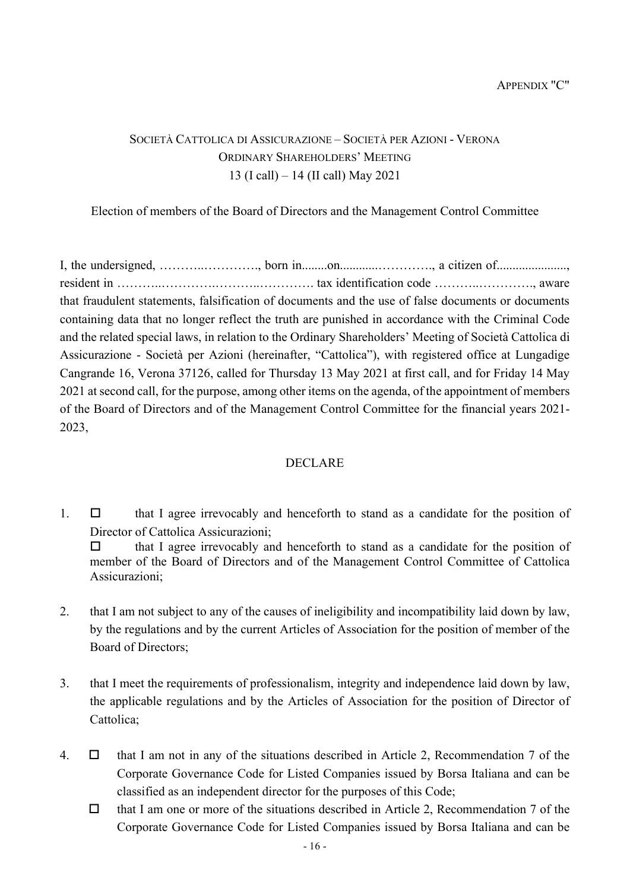# SOCIETÀ CATTOLICA DI ASSICURAZIONE – SOCIETÀ PER AZIONI - VERONA ORDINARY SHAREHOLDERS' MEETING 13 (I call) – 14 (II call) May 2021

Election of members of the Board of Directors and the Management Control Committee

I, the undersigned, ………..…………., born in........on............…………., a citizen of......................, resident in ………..………….………..…………. tax identification code ………..…………., aware that fraudulent statements, falsification of documents and the use of false documents or documents containing data that no longer reflect the truth are punished in accordance with the Criminal Code and the related special laws, in relation to the Ordinary Shareholders' Meeting of Società Cattolica di Assicurazione - Società per Azioni (hereinafter, "Cattolica"), with registered office at Lungadige Cangrande 16, Verona 37126, called for Thursday 13 May 2021 at first call, and for Friday 14 May 2021 at second call, for the purpose, among other items on the agenda, of the appointment of members of the Board of Directors and of the Management Control Committee for the financial years 2021- 2023,

### DECLARE

1.  $\Box$  that I agree irrevocably and henceforth to stand as a candidate for the position of Director of Cattolica Assicurazioni;

 $\Box$  that I agree irrevocably and henceforth to stand as a candidate for the position of member of the Board of Directors and of the Management Control Committee of Cattolica Assicurazioni;

- 2. that I am not subject to any of the causes of ineligibility and incompatibility laid down by law, by the regulations and by the current Articles of Association for the position of member of the Board of Directors;
- 3. that I meet the requirements of professionalism, integrity and independence laid down by law, the applicable regulations and by the Articles of Association for the position of Director of Cattolica;
- 4.  $\Box$  that I am not in any of the situations described in Article 2, Recommendation 7 of the Corporate Governance Code for Listed Companies issued by Borsa Italiana and can be classified as an independent director for the purposes of this Code;
	- $\Box$  that I am one or more of the situations described in Article 2, Recommendation 7 of the Corporate Governance Code for Listed Companies issued by Borsa Italiana and can be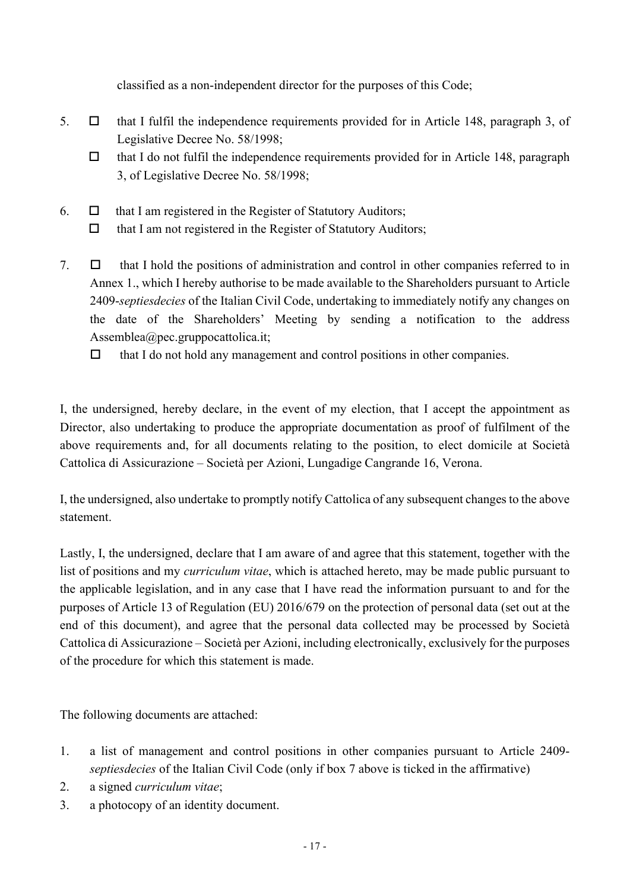classified as a non-independent director for the purposes of this Code;

- 5.  $\Box$  that I fulfil the independence requirements provided for in Article 148, paragraph 3, of Legislative Decree No. 58/1998;
	- $\Box$  that I do not fulfil the independence requirements provided for in Article 148, paragraph 3, of Legislative Decree No. 58/1998;
- 6.  $\Box$  that I am registered in the Register of Statutory Auditors;
	- $\Box$  that I am not registered in the Register of Statutory Auditors;
- 7.  $\Box$  that I hold the positions of administration and control in other companies referred to in Annex 1., which I hereby authorise to be made available to the Shareholders pursuant to Article 2409-septiesdecies of the Italian Civil Code, undertaking to immediately notify any changes on the date of the Shareholders' Meeting by sending a notification to the address Assemblea@pec.gruppocattolica.it;
	- $\Box$  that I do not hold any management and control positions in other companies.

I, the undersigned, hereby declare, in the event of my election, that I accept the appointment as Director, also undertaking to produce the appropriate documentation as proof of fulfilment of the above requirements and, for all documents relating to the position, to elect domicile at Società Cattolica di Assicurazione – Società per Azioni, Lungadige Cangrande 16, Verona.

I, the undersigned, also undertake to promptly notify Cattolica of any subsequent changes to the above statement.

Lastly, I, the undersigned, declare that I am aware of and agree that this statement, together with the list of positions and my *curriculum vitae*, which is attached hereto, may be made public pursuant to the applicable legislation, and in any case that I have read the information pursuant to and for the purposes of Article 13 of Regulation (EU) 2016/679 on the protection of personal data (set out at the end of this document), and agree that the personal data collected may be processed by Società Cattolica di Assicurazione – Società per Azioni, including electronically, exclusively for the purposes of the procedure for which this statement is made.

The following documents are attached:

- 1. a list of management and control positions in other companies pursuant to Article 2409 septiesdecies of the Italian Civil Code (only if box 7 above is ticked in the affirmative)
- 2. a signed curriculum vitae;
- 3. a photocopy of an identity document.